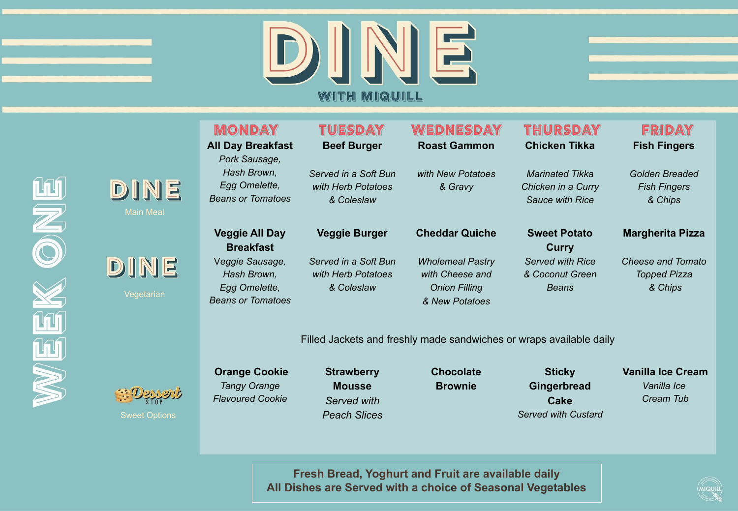



## **Margherita Pizza**

*Cheese and Tomato Topped Pizza & Chips* 

Filled Jackets and freshly made sandwiches or wraps available daily

**Cheddar Quiche**

*Wholemeal Pastry with Cheese and Onion Filling & New Potatoes*



Main Meal

DINE

Vegetarian

DINE

Sweet Options

 **Orange Cookie** *Tangy Orange Flavoured Cookie*

**Veggie All Day Breakfast** V*eggie Sausage, Hash Brown, Egg Omelette, Beans or Tomatoes*

> **Strawberry Mousse**  *Served with Peach Slices*

**Veggie Burger**

*Served in a Soft Bun with Herb Potatoes & Coleslaw* 

> **Chocolate Brownie**

**Sticky Gingerbread Cake** *Served with Custard*

**Sweet Potato Curry** *Served with Rice & Coconut Green Beans* 

## **Vanilla Ice Cream**

*Vanilla Ice Cream Tub* 

**Fresh Bread, Yoghurt and Fruit are available daily All Dishes are Served with a choice of Seasonal Vegetables**

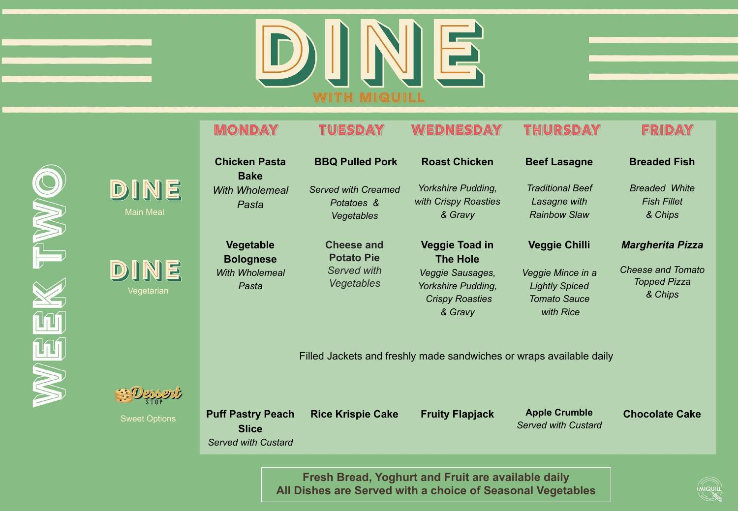

|                  | <b>MONDAY</b>                                                       | TUESDAY                                                | WEDNESDAY                                                                   | THURSDAY                                                                       | FRIDAY                                                |  |  |
|------------------|---------------------------------------------------------------------|--------------------------------------------------------|-----------------------------------------------------------------------------|--------------------------------------------------------------------------------|-------------------------------------------------------|--|--|
|                  | <b>Chicken Pasta</b><br><b>Bake</b>                                 | <b>BBQ Pulled Pork</b>                                 | <b>Roast Chicken</b>                                                        | <b>Beef Lasagne</b>                                                            | <b>Breaded Fish</b>                                   |  |  |
| <u>ie</u><br>eal | With Wholemeal<br>Pasta                                             | <b>Served with Creamed</b><br>Potatoes &<br>Vegetables | Yorkshire Pudding,<br>with Crispy Roasties<br>& Gravy                       | <b>Traditional Beef</b><br>Lasagne with<br><b>Rainbow Slaw</b>                 | <b>Breaded White</b><br><b>Fish Fillet</b><br>& Chips |  |  |
|                  | Vegetable<br><b>Bolognese</b>                                       | <b>Cheese and</b><br><b>Potato Pie</b>                 | <b>Veggie Toad in</b><br><b>The Hole</b>                                    | <b>Veggie Chilli</b>                                                           | <b>Margherita Pizza</b>                               |  |  |
| IE<br>rian       | <b>With Wholemeal</b><br>Pasta                                      | <b>Served with</b><br><b>Vegetables</b>                | Veggie Sausages,<br>Yorkshire Pudding,<br><b>Crispy Roasties</b><br>& Gravy | Veggie Mince in a<br><b>Lightly Spiced</b><br><b>Tomato Sauce</b><br>with Rice | Cheese and Tomato<br>Topped Pizza<br>& Chips          |  |  |
|                  | Filled Jackets and freshly made sandwiches or wraps available daily |                                                        |                                                                             |                                                                                |                                                       |  |  |





Main M

DIN

Vegeta

DIN

Sweet Options

**Puff Pastry Peach** 

**Rice Krispie Cake Fruity Flapjack Apple Crumble**  *Served with Custard* 

**Chocolate Cake** 

**Slice**  *Served with Custard*

> **Fresh Bread, Yoghurt and Fruit are available daily All Dishes are Served with a choice of Seasonal Vegetables**